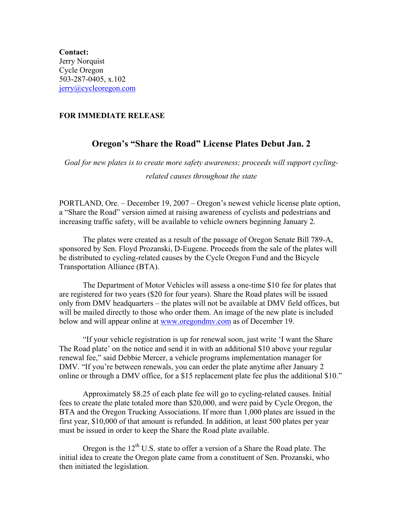**Contact:**  Jerry Norquist Cycle Oregon 503-287-0405, x.102 [jerry@cycleoregon.com](mailto:tara@cycleoregon.com)

## **FOR IMMEDIATE RELEASE**

## **Oregon's "Share the Road" License Plates Debut Jan. 2**

*Goal for new plates is to create more safety awareness; proceeds will support cyclingrelated causes throughout the state* 

PORTLAND, Ore. – December 19, 2007 – Oregon's newest vehicle license plate option, a "Share the Road" version aimed at raising awareness of cyclists and pedestrians and increasing traffic safety, will be available to vehicle owners beginning January 2.

 The plates were created as a result of the passage of Oregon Senate Bill 789-A, sponsored by Sen. Floyd Prozanski, D-Eugene. Proceeds from the sale of the plates will be distributed to cycling-related causes by the Cycle Oregon Fund and the Bicycle Transportation Alliance (BTA).

The Department of Motor Vehicles will assess a one-time \$10 fee for plates that are registered for two years (\$20 for four years). Share the Road plates will be issued only from DMV headquarters – the plates will not be available at DMV field offices, but will be mailed directly to those who order them. An image of the new plate is included below and will appear online at [www.oregondmv.com](http://www.oregondmv.com/) as of December 19.

"If your vehicle registration is up for renewal soon, just write 'I want the Share The Road plate' on the notice and send it in with an additional \$10 above your regular renewal fee," said Debbie Mercer, a vehicle programs implementation manager for DMV. "If you're between renewals, you can order the plate anytime after January 2 online or through a DMV office, for a \$15 replacement plate fee plus the additional \$10."

 Approximately \$8.25 of each plate fee will go to cycling-related causes. Initial fees to create the plate totaled more than \$20,000, and were paid by Cycle Oregon, the BTA and the Oregon Trucking Associations. If more than 1,000 plates are issued in the first year, \$10,000 of that amount is refunded. In addition, at least 500 plates per year must be issued in order to keep the Share the Road plate available.

Oregon is the  $12<sup>th</sup>$  U.S. state to offer a version of a Share the Road plate. The initial idea to create the Oregon plate came from a constituent of Sen. Prozanski, who then initiated the legislation.